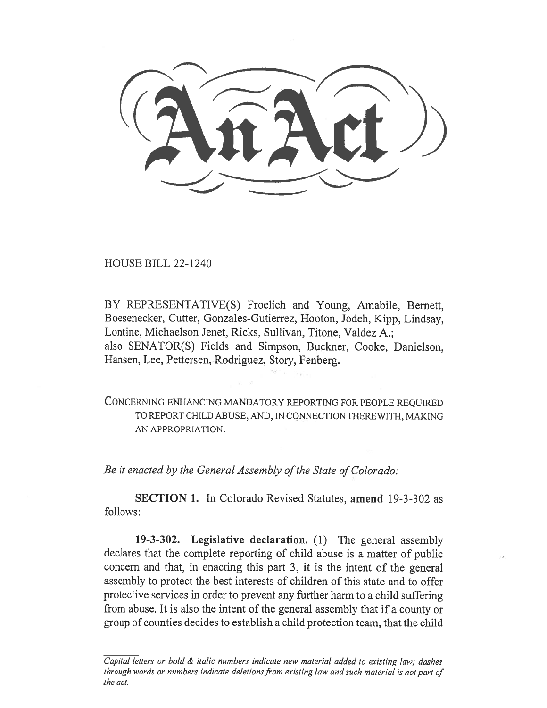HOUSE BILL 22-1240

BY REPRESENTATIVE(S) Froelich and Young, Amabile, Bernett, Boesenecker, Cutter, Gonzales-Gutierrez, Hooton, Jodeh, Kipp, Lindsay, Lontine, Michaelson Jenet, Ricks, Sullivan, Titone, Valdez A.; also SENATOR(S) Fields and Simpson, Buckner, Cooke, Danielson, Hansen, Lee, Pettersen, Rodriguez, Story, Fenberg.

CONCERNING ENHANCING MANDATORY REPORTING FOR PEOPLE REQUIRED TO REPORT CHILD ABUSE, AND, IN CONNECTION THEREWITH, MAKING AN APPROPRIATION.

Be it enacted by the General Assembly of the State of Colorado:

SECTION 1. In Colorado Revised Statutes, amend 19-3-302 as follows:

19-3-302. Legislative declaration. (1) The general assembly declares that the complete reporting of child abuse is a matter of public concern and that, in enacting this part 3, it is the intent of the general assembly to protect the best interests of children of this state and to offer protective services in order to prevent any further harm to a child suffering from abuse. It is also the intent of the general assembly that if a county or group of counties decides to establish a child protection team, that the child

Capital letters or bold & italic numbers indicate new material added to existing law; dashes through words or numbers indicate deletions from existing law and such material is not part of the act.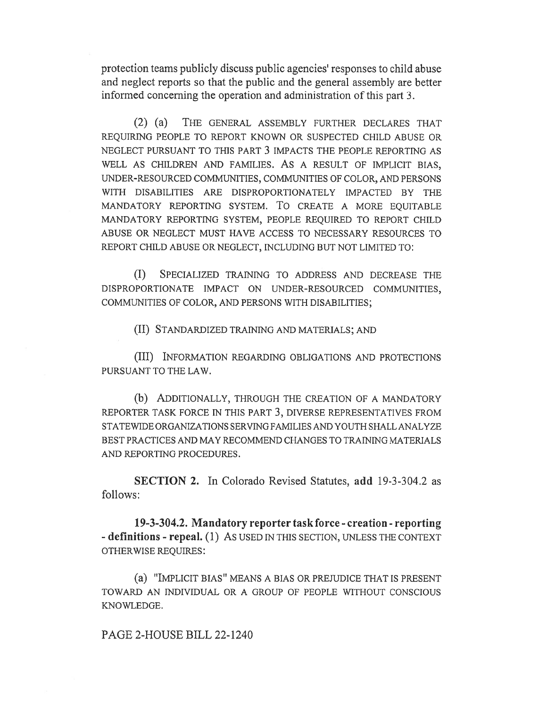protection teams publicly discuss public agencies' responses to child abuse and neglect reports so that the public and the general assembly are better informed concerning the operation and administration of this part 3.

(2) (a) THE GENERAL ASSEMBLY FURTHER DECLARES THAT REQUIRING PEOPLE TO REPORT KNOWN OR SUSPECTED CHILD ABUSE OR NEGLECT PURSUANT TO THIS PART 3 IMPACTS THE PEOPLE REPORTING AS WELL AS CHILDREN AND FAMILIES. AS A RESULT OF IMPLICIT BIAS, UNDER-RESOURCED COMMUNITIES, COMMUNITIES OF COLOR, AND PERSONS WITH DISABILITIES ARE DISPROPORTIONATELY IMPACTED BY THE MANDATORY REPORTING SYSTEM. To CREATE A MORE EQUITABLE MANDATORY REPORTING SYSTEM, PEOPLE REQUIRED TO REPORT CHILD ABUSE OR NEGLECT MUST HAVE ACCESS TO NECESSARY RESOURCES TO REPORT CHILD ABUSE OR NEGLECT, INCLUDING BUT NOT LIMITED TO:

(I) SPECIALIZED TRAINING TO ADDRESS AND DECREASE THE DISPROPORTIONATE IMPACT ON UNDER-RESOURCED COMMUNITIES, COMMUNITIES OF COLOR, AND PERSONS WITH DISABILITIES;

(II) STANDARDIZED TRAINING AND MATERIALS; AND

(III) INFORMATION REGARDING OBLIGATIONS AND PROTECTIONS PURSUANT TO THE LAW.

(b) ADDITIONALLY, THROUGH THE CREATION OF A MANDATORY REPORTER TASK FORCE IN THIS PART 3, DIVERSE REPRESENTATIVES FROM STATEWIDE ORGANIZATIONS SERVING FAMILIES AND YOUTH SHALL ANALYZE BEST PRACTICES AND MAY RECOMMEND CHANGES TO TRAINING MATERIALS AND REPORTING PROCEDURES.

SECTION 2. In Colorado Revised Statutes, add 19-3-304.2 as follows:

19-3-304.2. Mandatory reporter task force - creation - reporting - definitions - repeal. (1) AS USED IN THIS SECTION, UNLESS THE CONTEXT OTHERWISE REQUIRES:

(a) "IMPLICIT BIAS" MEANS A BIAS OR PREJUDICE THAT IS PRESENT TOWARD AN INDIVIDUAL OR A GROUP OF PEOPLE WITHOUT CONSCIOUS KNOWLEDGE.

PAGE 2-HOUSE BILL 22-1240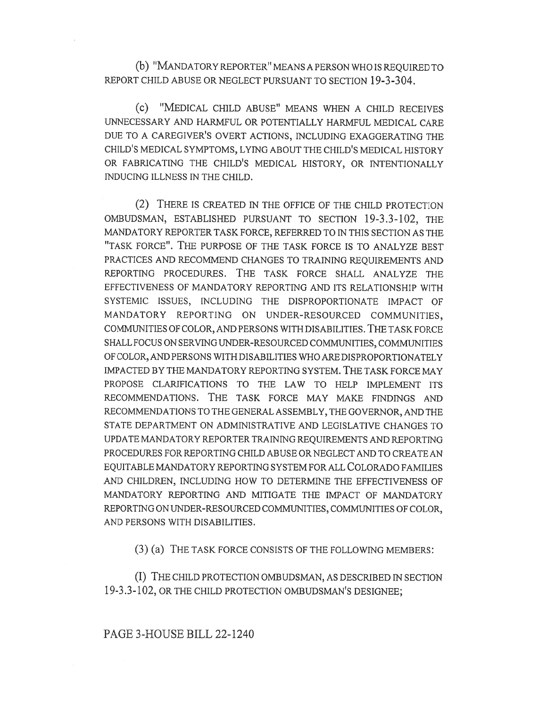(b) "MANDATORY REPORTER" MEANS A PERSON WHO IS REQUIRED TO REPORT CHILD ABUSE OR NEGLECT PURSUANT TO SECTION 19-3-304.

(c) "MEDICAL CHILD ABUSE" MEANS WHEN A CHILD RECEIVES UNNECESSARY AND HARMFUL OR POTENTIALLY HARMFUL MEDICAL CARE DUE TO A CAREGIVER'S OVERT ACTIONS, INCLUDING EXAGGERATING THE CHILD'S MEDICAL SYMPTOMS, LYING ABOUT THE CHILD'S MEDICAL HISTORY OR FABRICATING THE CHILD'S MEDICAL HISTORY, OR INTENTIONALLY INDUCING ILLNESS IN THE CHILD.

(2) THERE IS CREATED IN THE OFFICE OF THE CHILD PROTECTION OMBUDSMAN, ESTABLISHED PURSUANT TO SECTION 19-3.3-102, THE MANDATORY REPORTER TASK FORCE, REFERRED TO IN THIS SECTION AS THE "TASK FORCE". THE PURPOSE OF THE TASK FORCE IS TO ANALYZE BEST PRACTICES AND RECOMMEND CHANGES TO TRAINING REQUIREMENTS AND REPORTING PROCEDURES. THE TASK FORCE SHALL ANALYZE THE EFFECTIVENESS OF MANDATORY REPORTING AND ITS RELATIONSHIP WITH SYSTEMIC ISSUES, INCLUDING THE DISPROPORTIONATE IMPACT OF MANDATORY REPORTING ON UNDER-RESOURCED COMMUNITIES, COMMUNITIES OF COLOR, AND PERSONS WITH DISABILITIES. THE TASK FORCE SHALL FOCUS ON SERVING UNDER-RESOURCED COMMUNITIES, COMMUNITIES OF COLOR, AND PERSONS WITH DISABILITIES WHO ARE DISPROPORTIONATELY IMPACTED BY THE MANDATORY REPORTING SYSTEM. THE TASK FORCE MAY PROPOSE CLARIFICATIONS TO THE LAW TO HELP IMPLEMENT ITS RECOMMENDATIONS. THE TASK FORCE MAY MAKE FINDINGS AND RECOMMENDATIONS TO THE GENERAL ASSEMBLY, THE GOVERNOR, AND THE STATE DEPARTMENT ON ADMINISTRATIVE AND LEGISLATIVE CHANGES TO UPDATE MANDATORY REPORTER TRAINING REQUIREMENTS AND REPORTING PROCEDURES FOR REPORTING CHILD ABUSE OR NEGLECT AND TO CREATE AN EQUITABLE MANDATORY REPORTING SYSTEM FOR ALL COLORADO FAMILIES AND CHILDREN, INCLUDING HOW TO DETERMINE THE EFFECTIVENESS OF MANDATORY REPORTING AND MITIGATE THE IMPACT OF MANDATORY REPORTING ON UNDER-RESOURCED COMMUNITIES, COMMUNITIES OF COLOR, AND PERSONS WITH DISABILITIES.

(3) (a) THE TASK FORCE CONSISTS OF THE FOLLOWING MEMBERS:

(I) THE CHILD PROTECTION OMBUDSMAN, AS DESCRIBED IN SECTION 19-3.3-102, OR THE CHILD PROTECTION OMBUDSMAN'S DESIGNEE;

## PAGE 3-HOUSE BILL 22-1240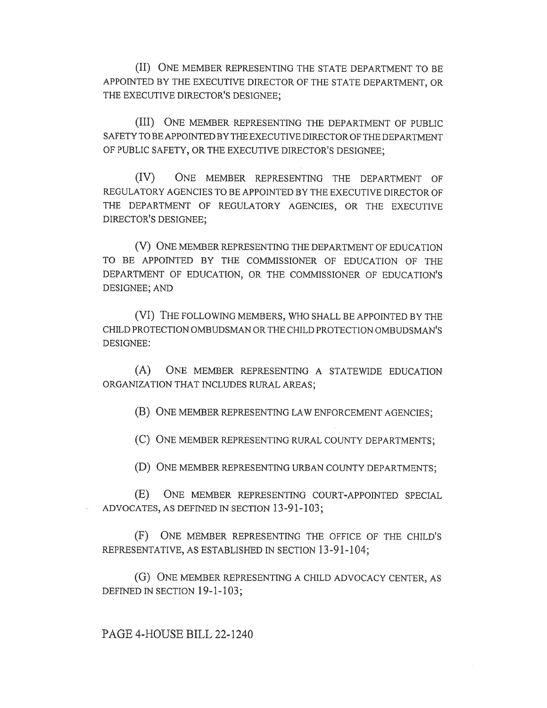(II) ONE MEMBER REPRESENTING THE STATE DEPARTMENT TO BE APPOINTED BY THE EXECUTIVE DIRECTOR OF THE STATE DEPARTMENT, OR THE EXECUTIVE DIRECTOR'S DESIGNEE;

(III) ONE MEMBER REPRESENTING THE DEPARTMENT OF PUBLIC SAFETY TO BE APPOINTED BY THE EXECUTIVE DIRECTOR OF THE DEPARTMENT OF PUBLIC SAFETY, OR THE EXECUTIVE DIRECTOR'S DESIGNEE;

(IV) ONE MEMBER REPRESENTING THE DEPARTMENT OF REGULATORY AGENCIES TO BE APPOINTED BY THE EXECUTIVE DIRECTOR OF THE DEPARTMENT OF REGULATORY AGENCIES, OR THE EXECUTIVE DIRECTOR'S DESIGNEE;

(V) ONE MEMBER REPRESENTING THE DEPARTMENT OF EDUCATION TO BE APPOINTED BY THE COMMISSIONER OF EDUCATION OF THE DEPARTMENT OF EDUCATION, OR THE COMMISSIONER OF EDUCATION'S DESIGNEE; AND

(VI) THE FOLLOWING MEMBERS, WHO SHALL BE APPOINTED BY THE CHILD PROTECTION OMBUDSMAN OR THE CHILD PROTECTION OMBUDSMAN'S DESIGNEE:

(A) ONE MEMBER REPRESENTING A STATEWIDE EDUCATION ORGANIZATION THAT INCLUDES RURAL AREAS;

(B) ONE MEMBER REPRESENTING LAW ENFORCEMENT AGENCIES;

(C) ONE MEMBER REPRESENTING RURAL COUNTY DEPARTMENTS;

(D) ONE MEMBER REPRESENTING URBAN COUNTY DEPARTMENTS;

(E) ONE MEMBER REPRESENTING COURT-APPOINTED SPECIAL ADVOCATES, AS DEFINED IN SECTION 13-91-103;

(F) ONE MEMBER REPRESENTING THE OFFICE OF THE CHILD'S REPRESENTATIVE, AS ESTABLISHED IN SECTION 13-91-104;

(G) ONE MEMBER REPRESENTING A CHILD ADVOCACY CENTER, AS DEFINED IN SECTION 19-1-103;

PAGE 4-HOUSE BILL 22-1240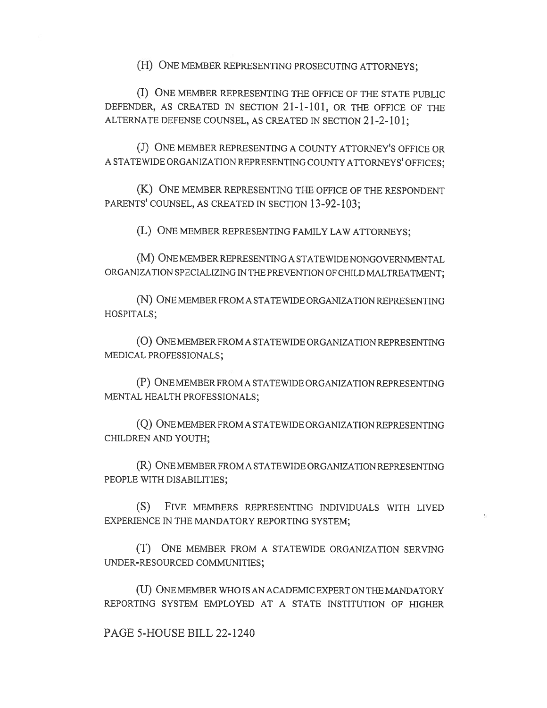(H) ONE MEMBER REPRESENTING PROSECUTING ATTORNEYS;

(I) ONE MEMBER REPRESENTING THE OFFICE OF THE STATE PUBLIC DEFENDER, AS CREATED IN SECTION 21-1-101, OR THE OFFICE OF THE ALTERNATE DEFENSE COUNSEL, AS CREATED IN SECTION 21-2-101;

(J) ONE MEMBER REPRESENTING A COUNTY ATTORNEY'S OFFICE OR A STATEWIDE ORGANIZATION REPRESENTING COUNTY ATTORNEYS' OFFICES;

(K) ONE MEMBER REPRESENTING THE OFFICE OF THE RESPONDENT PARENTS' COUNSEL, AS CREATED IN SECTION 13-92-103;

(L) ONE MEMBER REPRESENTING FAMILY LAW ATTORNEYS;

(M) ONE MEMBER REPRESENTING A STATEWIDE NONGOVERNMENTAL ORGANIZATION SPECIALIZING IN THE PREVENTION OF CHILD MALTREATMENT;

(N) ONE MEMBER FROM A STATEWIDE ORGANIZATION REPRESENTING HOSPITALS;

(0) ONE MEMBER FROM A STATEWIDE ORGANIZATION REPRESENTING MEDICAL PROFESSIONALS;

(P) ONE MEMBER FROM A STATEWIDE ORGANIZATION REPRESENTING MENTAL HEALTH PROFESSIONALS;

(Q) ONE MEMBER FROM A STATEWIDE ORGANIZATION REPRESENTING CHILDREN AND YOUTH;

(R) ONE MEMBER FROM A STATEWIDE ORGANIZATION REPRESENTING PEOPLE WITH DISABILITIES;

(S) FIVE MEMBERS REPRESENTING INDIVIDUALS WITH LIVED EXPERIENCE IN THE MANDATORY REPORTING SYSTEM;

(T) ONE MEMBER FROM A STATEWIDE ORGANIZATION SERVING UNDER-RESOURCED COMMUNITIES;

(U) ONE MEMBER WHO IS AN ACADEMIC EXPERT ON THE MANDATORY REPORTING SYSTEM EMPLOYED AT A STATE INSTITUTION OF HIGHER

PAGE 5-HOUSE BILL 22-1240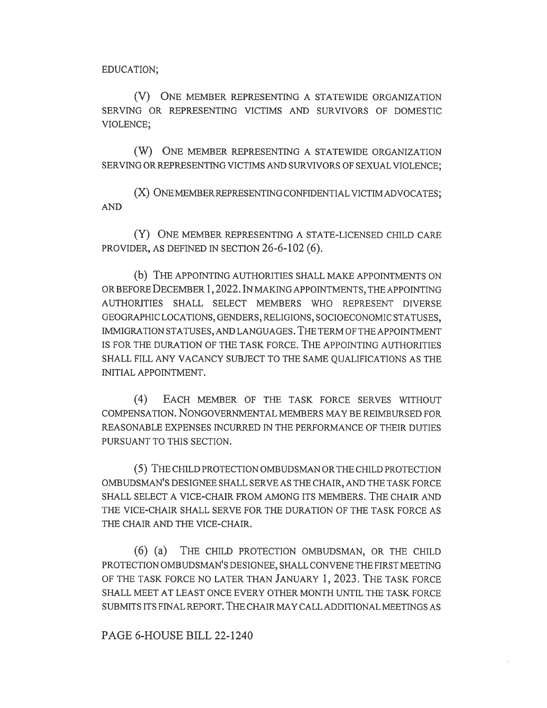EDUCATION;

(V) ONE MEMBER REPRESENTING A STATEWIDE ORGANIZATION SERVING OR REPRESENTING VICTIMS AND SURVIVORS OF DOMESTIC VIOLENCE;

(W) ONE MEMBER REPRESENTING A STATEWIDE ORGANIZATION SERVING OR REPRESENTING VICTIMS AND SURVIVORS OF SEXUAL VIOLENCE;

(X) ONE MEMBER REPRESENTING CONFIDENTIAL VICTIM ADVOCATES; AND

(Y) ONE MEMBER REPRESENTING A STATE-LICENSED CHILD CARE PROVIDER, AS DEFINED IN SECTION 26-6-102 (6).

(b) THE APPOINTING AUTHORITIES SHALL MAKE APPOINTMENTS ON OR BEFORE DECEMBER 1, 2022. IN MAKING APPOINTMENTS, THE APPOINTING AUTHORITIES SHALL SELECT MEMBERS WHO REPRESENT DIVERSE GEOGRAPHIC LOCATIONS, GENDERS, RELIGIONS, SOCIOECONOMIC STATUSES, IMMIGRATION STATUSES, AND LANGUAGES. THE TERM OF THE APPOINTMENT IS FOR THE DURATION OF THE TASK FORCE. THE APPOINTING AUTHORITIES SHALL FILL ANY VACANCY SUBJECT TO THE SAME QUALIFICATIONS AS THE INITIAL APPOINTMENT.

(4) EACH MEMBER OF THE TASK FORCE SERVES WITHOUT COMPENSATION. NONGOVERNMENTAL MEMBERS MAY BE REIMBURSED FOR REASONABLE EXPENSES INCURRED IN THE PERFORMANCE OF THEIR DUTIES PURSUANT TO THIS SECTION.

(5) THE CHILD PROTECTION OMBUDSMAN OR THE CHILD PROTECTION OMBUDSMAN'S DESIGNEE SHALL SERVE AS THE CHAIR, AND THE TASK FORCE SHALL SELECT A VICE-CHAIR FROM AMONG ITS MEMBERS. THE CHAIR AND THE VICE-CHAIR SHALL SERVE FOR THE DURATION OF THE TASK FORCE AS THE CHAIR AND THE VICE-CHAIR.

(6) (a) THE CHILD PROTECTION OMBUDSMAN, OR THE CHILD PROTECTION OMBUDSMAN'S DESIGNEE, SHALL CONVENE THE FIRST MEETING OF THE TASK FORCE NO LATER THAN JANUARY 1, 2023. THE TASK FORCE SHALL MEET AT LEAST ONCE EVERY OTHER MONTH UNTIL THE TASK FORCE SUBMITS ITS FINAL REPORT. THE CHAIR MAY CALL ADDITIONAL MEETINGS AS

PAGE 6-HOUSE BILL 22-1240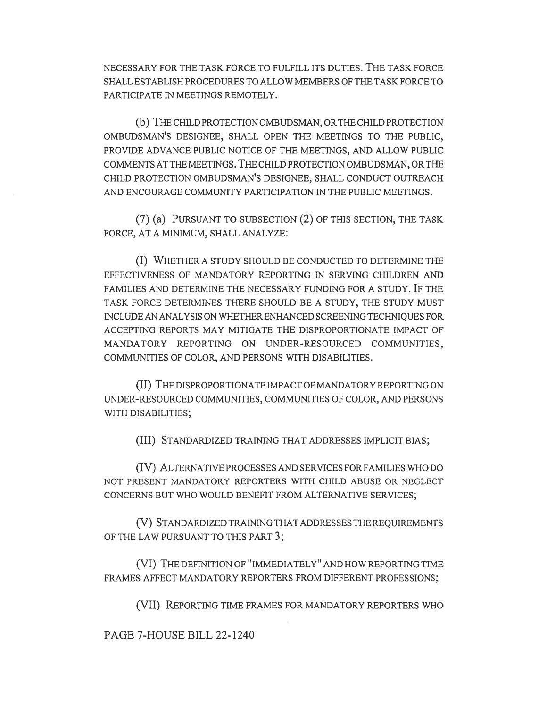NECESSARY FOR THE TASK FORCE TO FULFILL ITS DUTIES. THE TASK FORCE SHALL ESTABLISH PROCEDURES TO ALLOW MEMBERS OF THE TASK FORCE TO PARTICIPATE IN MEETINGS REMOTELY.

(b) THE CHILD PROTECTION OMBUDSMAN, OR THE CHILD PROTECTION OMBUDSMAN'S DESIGNEE, SHALL OPEN THE MEETINGS TO THE PUBLIC, PROVIDE ADVANCE PUBLIC NOTICE OF THE MEETINGS, AND ALLOW PUBLIC COMMENTS AT THE MEETINGS. THE CHILD PROTECTION OMBUDSMAN, OR THE CHILD PROTECTION OMBUDSMAN'S DESIGNEE, SHALL CONDUCT OUTREACH AND ENCOURAGE COMMUNITY PARTICIPATION IN THE PUBLIC MEETINGS.

(7) (a) PURSUANT TO SUBSECTION (2) OF THIS SECTION, THE TASK FORCE, AT A MINIMUM, SHALL ANALYZE:

(I) WHETHER A STUDY SHOULD BE CONDUCTED TO DETERMINE THE EFFECTIVENESS OF MANDATORY REPORTING IN SERVING CHILDREN AND FAMILIES AND DETERMINE THE NECESSARY FUNDING FOR A STUDY. IF THE TASK FORCE DETERMINES THERE SHOULD BE A STUDY, THE STUDY MUST INCLUDE AN ANALYSIS ON WHETHER ENHANCED SCREENING TECHNIQUES FOR ACCEPTING REPORTS MAY MITIGATE THE DISPROPORTIONATE IMPACT OF MANDATORY REPORTING ON UNDER-RESOURCED COMMUNITIES, COMMUNITIES OF COLOR, AND PERSONS WITH DISABILITIES.

(II) THE DISPROPORTIONATE IMPACT OF MANDATORY REPORTING ON UNDER-RESOURCED COMMUNITIES, COMMUNITIES OF COLOR, AND PERSONS WITH DISABILITIES;

(III) STANDARDIZED TRAINING THAT ADDRESSES IMPLICIT BIAS;

(IV) ALTERNATIVE PROCESSES AND SERVICES FOR FAMILIES WHO DO NOT PRESENT MANDATORY REPORTERS WITH CHILD ABUSE OR NEGLECT CONCERNS BUT WHO WOULD BENEFIT FROM ALTERNATIVE SERVICES;

(V) STANDARDIZED TRAINING THAT ADDRESSES THE REQUIREMENTS OF THE LAW PURSUANT TO THIS PART 3;

(VI) THE DEFINITION OF "IMMEDIATELY" AND HOW REPORTING TIME FRAMES AFFECT MANDATORY REPORTERS FROM DIFFERENT PROFESSIONS;

(VII) REPORTING TIME FRAMES FOR MANDATORY REPORTERS WHO

PAGE 7-HOUSE BILL 22-1240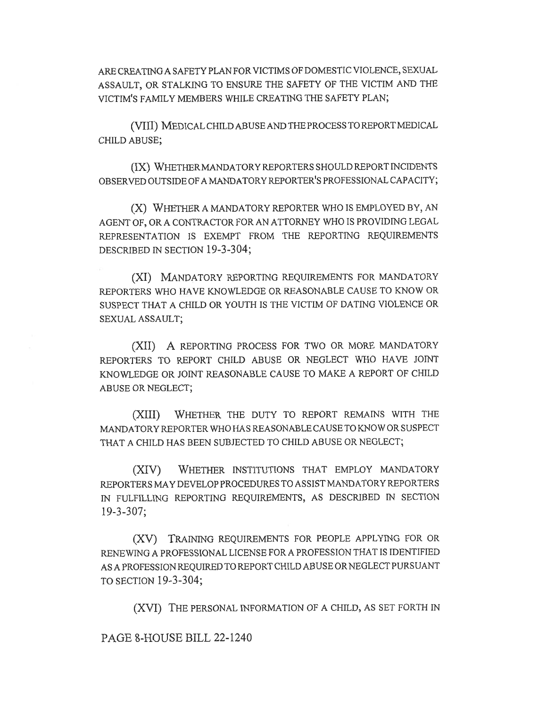ARE CREATING A SAFETY PLAN FOR VICTIMS OF DOMESTIC VIOLENCE, SEXUAL ASSAULT, OR STALKING TO ENSURE THE SAFETY OF THE VICTIM AND THE VICTIM'S FAMILY MEMBERS WHILE CREATING THE SAFETY PLAN;

(VIII) MEDICAL CHILD ABUSE AND THE PROCESS TO REPORT MEDICAL CHILD ABUSE;

(IX) WHETHER MANDATORY REPORTERS SHOULD REPORT INCIDENTS OBSERVED OUTSIDE OF A MANDATORY REPORTER'S PROFESSIONAL CAPACITY;

(X) WHETHER A MANDATORY REPORTER WHO IS EMPLOYED BY, AN AGENT OF, OR A CONTRACTOR FOR AN ATTORNEY WHO IS PROVIDING LEGAL REPRESENTATION IS EXEMPT FROM THE REPORTING REQUIREMENTS DESCRIBED IN SECTION 19-3-304;

(XI) MANDATORY REPORTING REQUIREMENTS FOR MANDATORY REPORTERS WHO HAVE KNOWLEDGE OR REASONABLE CAUSE TO KNOW OR SUSPECT THAT A CHILD OR YOUTH IS THE VICTIM OF DATING VIOLENCE OR SEXUAL ASSAULT;

(XII) A REPORTING PROCESS FOR TWO OR MORE MANDATORY REPORTERS TO REPORT CHILD ABUSE OR NEGLECT WHO HAVE JOINT KNOWLEDGE OR JOINT REASONABLE CAUSE TO MAKE A REPORT OF CHILD ABUSE OR NEGLECT;

(XIII) WHETHER THE DUTY TO REPORT REMAINS WITH THE MANDATORY REPORTER WHO HAS REASONABLE CAUSE TO KNOW OR SUSPECT THAT A CHILD HAS BEEN SUBJECTED TO CHILD ABUSE OR NEGLECT;

(XIV) WHETHER INSTITUTIONS THAT EMPLOY MANDATORY REPORTERS MAY DEVELOP PROCEDURES TO ASSIST MANDATORY REPORTERS IN FULFILLING REPORTING REQUIREMENTS, AS DESCRIBED IN SECTION 19-3-307;

(XV) TRAINING REQUIREMENTS FOR PEOPLE APPLYING FOR OR RENEWING A PROFESSIONAL LICENSE FOR A PROFESSION THAT IS IDENTIFIED AS A PROFESSION REQUIRED TO REPORT CHILD ABUSE OR NEGLECT PURSUANT TO SECTION 19-3-304;

(XVI) THE PERSONAL INFORMATION OF A CHILD, AS SET FORTH IN

PAGE 8-HOUSE BILL 22-1240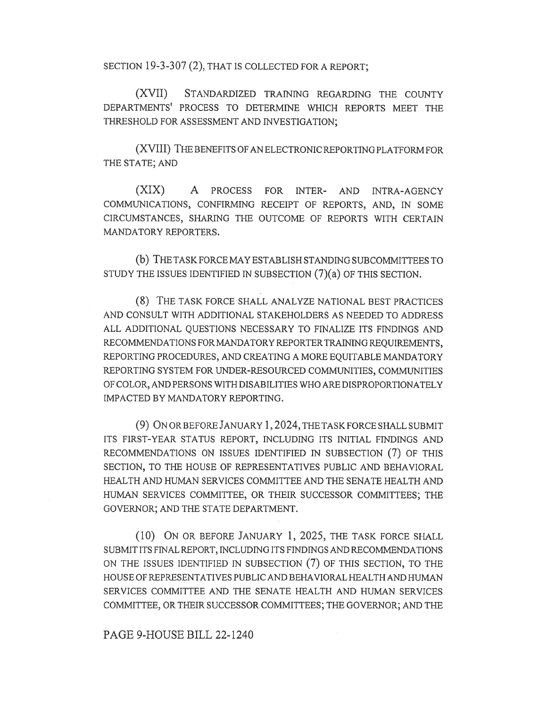SECTION 19-3-307 (2), THAT IS COLLECTED FOR A REPORT:

(XVII) STANDARDIZED TRAINING REGARDING THE COUNTY DEPARTMENTS' PROCESS TO DETERMINE WHICH REPORTS MEET THE THRESHOLD FOR ASSESSMENT AND INVESTIGATION;

(XVIII) THE BENEFITS OF AN ELECTRONIC REPORTING PLATFORM FOR THE STATE; AND

(XIX) A PROCESS FOR INTER- AND INTRA-AGENCY COMMUNICATIONS, CONFIRMING RECEIPT OF REPORTS, AND, IN SOME CIRCUMSTANCES, SHARING THE OUTCOME OF REPORTS WITH CERTAIN MANDATORY REPORTERS.

(b) THE TASK FORCE MAY ESTABLISH STANDING SUBCOMMITTEES TO STUDY THE ISSUES IDENTIFIED IN SUBSECTION (7)(a) OF THIS SECTION.

(8) THE TASK FORCE SHALL ANALYZE NATIONAL BEST PRACTICES AND CONSULT WITH ADDITIONAL STAKEHOLDERS AS NEEDED TO ADDRESS ALL ADDITIONAL QUESTIONS NECESSARY TO FINALIZE ITS FINDINGS AND RECOMMENDATIONS FOR MANDATORY REPORTER TRAINING REQUIREMENTS, REPORTING PROCEDURES, AND CREATING A MORE EQUITABLE MANDATORY REPORTING SYSTEM FOR UNDER-RESOURCED COMMUNITIES, COMMUNITIES OF COLOR, AND PERSONS WITH DISABILITIES WHO ARE DISPROPORTIONATELY IMPACTED BY MANDATORY REPORTING.

(9) ON OR BEFORE JANUARY 1, 2024, THE TASK FORCE SHALL SUBMIT ITS FIRST-YEAR STATUS REPORT, INCLUDING ITS INITIAL FINDINGS AND RECOMMENDATIONS ON ISSUES IDENTIFIED IN SUBSECTION (7) OF THIS SECTION, TO THE HOUSE OF REPRESENTATIVES PUBLIC AND BEHAVIORAL HEALTH AND HUMAN SERVICES COMMITTEE AND THE SENATE HEALTH AND HUMAN SERVICES COMMITTEE, OR THEIR SUCCESSOR COMMITTEES; THE GOVERNOR; AND THE STATE DEPARTMENT.

(10) ON OR BEFORE JANUARY 1, 2025, THE TASK FORCE SHALL SUBMIT ITS FINAL REPORT, INCLUDING ITS FINDINGS AND RECOMMENDATIONS ON THE ISSUES IDENTIFIED IN SUBSECTION (7) OF THIS SECTION, TO THE HOUSE OF REPRESENTATIVES PUBLIC AND BEHAVIORAL HEALTH AND HUMAN SERVICES COMMITTEE AND THE SENATE HEALTH AND HUMAN SERVICES COMMITTEE, OR THEIR SUCCESSOR COMMITTEES; THE GOVERNOR; AND THE

PAGE 9-HOUSE BILL 22-1240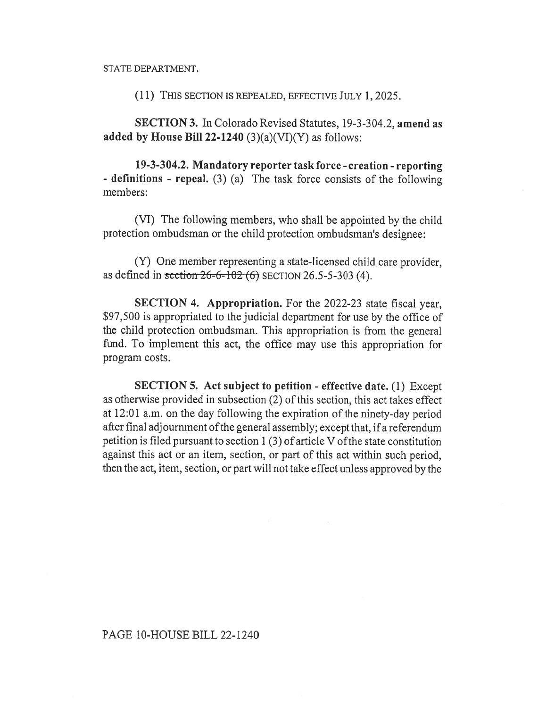STATE DEPARTMENT.

(11) THIS SECTION IS REPEALED, EFFECTIVE JULY 1, 2025.

SECTION 3. In Colorado Revised Statutes, 19-3-304.2, amend as added by House Bill 22-1240  $(3)(a)(VI)(Y)$  as follows:

19-3-304.2. Mandatory reporter task force - creation - reporting - definitions - repeal. (3) (a) The task force consists of the following members:

(VI) The following members, who shall be appointed by the child protection ombudsman or the child protection ombudsman's designee:

(Y) One member representing a state-licensed child care provider, as defined in section  $26-6-102(6)$  SECTION 26.5-5-303 (4).

SECTION 4. Appropriation. For the 2022-23 state fiscal year, \$97,500 is appropriated to the judicial department for use by the office of the child protection ombudsman. This appropriation is from the general fund. To implement this act, the office may use this appropriation for program costs.

SECTION 5. Act subject to petition - effective date. (1) Except as otherwise provided in subsection (2) of this section, this act takes effect at 12:01 a.m. on the day following the expiration of the ninety-day period after final adjournment of the general assembly; except that, if a referendum petition is filed pursuant to section 1 (3) of article V of the state constitution against this act or an item, section, or part of this act within such period, then the act, item, section, or part will not take effect unless approved by the

## PAGE 10-HOUSE BILL 22-1240